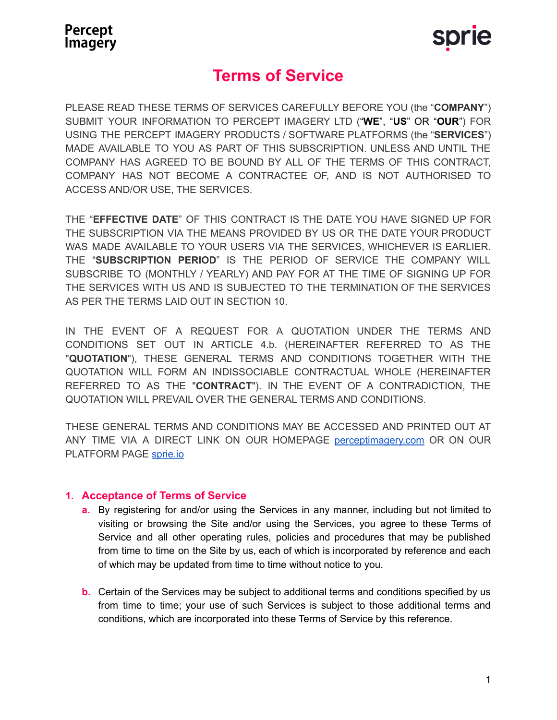

# **Terms of Service**

PLEASE READ THESE TERMS OF SERVICES CAREFULLY BEFORE YOU (the "**COMPANY**") SUBMIT YOUR INFORMATION TO PERCEPT IMAGERY LTD ("**WE**", "**US**" OR "**OUR**") FOR USING THE PERCEPT IMAGERY PRODUCTS / SOFTWARE PLATFORMS (the "**SERVICES**") MADE AVAILABLE TO YOU AS PART OF THIS SUBSCRIPTION. UNLESS AND UNTIL THE COMPANY HAS AGREED TO BE BOUND BY ALL OF THE TERMS OF THIS CONTRACT, COMPANY HAS NOT BECOME A CONTRACTEE OF, AND IS NOT AUTHORISED TO ACCESS AND/OR USE, THE SERVICES.

THE "**EFFECTIVE DATE**" OF THIS CONTRACT IS THE DATE YOU HAVE SIGNED UP FOR THE SUBSCRIPTION VIA THE MEANS PROVIDED BY US OR THE DATE YOUR PRODUCT WAS MADE AVAILABLE TO YOUR USERS VIA THE SERVICES, WHICHEVER IS EARLIER. THE "**SUBSCRIPTION PERIOD**" IS THE PERIOD OF SERVICE THE COMPANY WILL SUBSCRIBE TO (MONTHLY / YEARLY) AND PAY FOR AT THE TIME OF SIGNING UP FOR THE SERVICES WITH US AND IS SUBJECTED TO THE TERMINATION OF THE SERVICES AS PER THE TERMS LAID OUT IN SECTION 10.

IN THE EVENT OF A REQUEST FOR A QUOTATION UNDER THE TERMS AND CONDITIONS SET OUT IN ARTICLE 4.b. (HEREINAFTER REFERRED TO AS THE "**QUOTATION**"), THESE GENERAL TERMS AND CONDITIONS TOGETHER WITH THE QUOTATION WILL FORM AN INDISSOCIABLE CONTRACTUAL WHOLE (HEREINAFTER REFERRED TO AS THE "**CONTRACT**"). IN THE EVENT OF A CONTRADICTION, THE QUOTATION WILL PREVAIL OVER THE GENERAL TERMS AND CONDITIONS.

THESE GENERAL TERMS AND CONDITIONS MAY BE ACCESSED AND PRINTED OUT AT ANY TIME VIA A DIRECT LINK ON OUR HOMEPAGE [perceptimagery.com](http://www.perceptimagery.com) OR ON OUR PLATFORM PAGE [sprie.io](http://www.sprie.io)

### **1. Acceptance of Terms of Service**

- **a.** By registering for and/or using the Services in any manner, including but not limited to visiting or browsing the Site and/or using the Services, you agree to these Terms of Service and all other operating rules, policies and procedures that may be published from time to time on the Site by us, each of which is incorporated by reference and each of which may be updated from time to time without notice to you.
- **b.** Certain of the Services may be subject to additional terms and conditions specified by us from time to time; your use of such Services is subject to those additional terms and conditions, which are incorporated into these Terms of Service by this reference.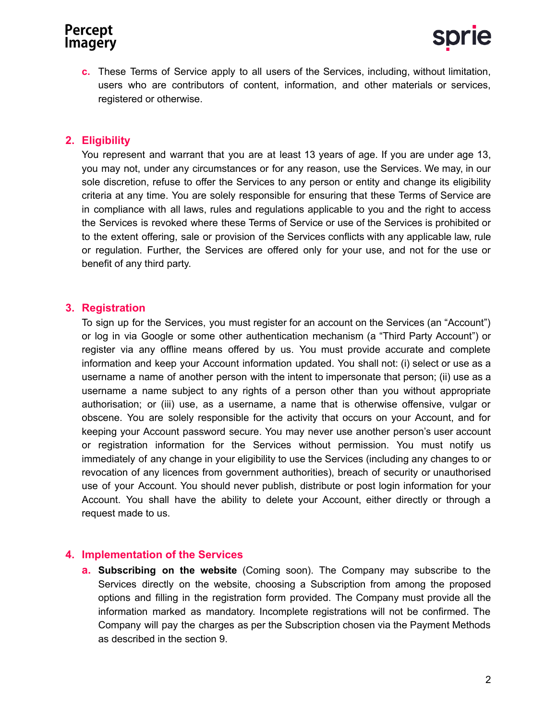**c.** These Terms of Service apply to all users of the Services, including, without limitation, users who are contributors of content, information, and other materials or services, registered or otherwise.

### **2. Eligibility**

You represent and warrant that you are at least 13 years of age. If you are under age 13, you may not, under any circumstances or for any reason, use the Services. We may, in our sole discretion, refuse to offer the Services to any person or entity and change its eligibility criteria at any time. You are solely responsible for ensuring that these Terms of Service are in compliance with all laws, rules and regulations applicable to you and the right to access the Services is revoked where these Terms of Service or use of the Services is prohibited or to the extent offering, sale or provision of the Services conflicts with any applicable law, rule or regulation. Further, the Services are offered only for your use, and not for the use or benefit of any third party.

### **3. Registration**

To sign up for the Services, you must register for an account on the Services (an "Account") or log in via Google or some other authentication mechanism (a "Third Party Account") or register via any offline means offered by us. You must provide accurate and complete information and keep your Account information updated. You shall not: (i) select or use as a username a name of another person with the intent to impersonate that person; (ii) use as a username a name subject to any rights of a person other than you without appropriate authorisation; or (iii) use, as a username, a name that is otherwise offensive, vulgar or obscene. You are solely responsible for the activity that occurs on your Account, and for keeping your Account password secure. You may never use another person's user account or registration information for the Services without permission. You must notify us immediately of any change in your eligibility to use the Services (including any changes to or revocation of any licences from government authorities), breach of security or unauthorised use of your Account. You should never publish, distribute or post login information for your Account. You shall have the ability to delete your Account, either directly or through a request made to us.

### **4. Implementation of the Services**

**a. Subscribing on the website** (Coming soon). The Company may subscribe to the Services directly on the website, choosing a Subscription from among the proposed options and filling in the registration form provided. The Company must provide all the information marked as mandatory. Incomplete registrations will not be confirmed. The Company will pay the charges as per the Subscription chosen via the Payment Methods as described in the section 9.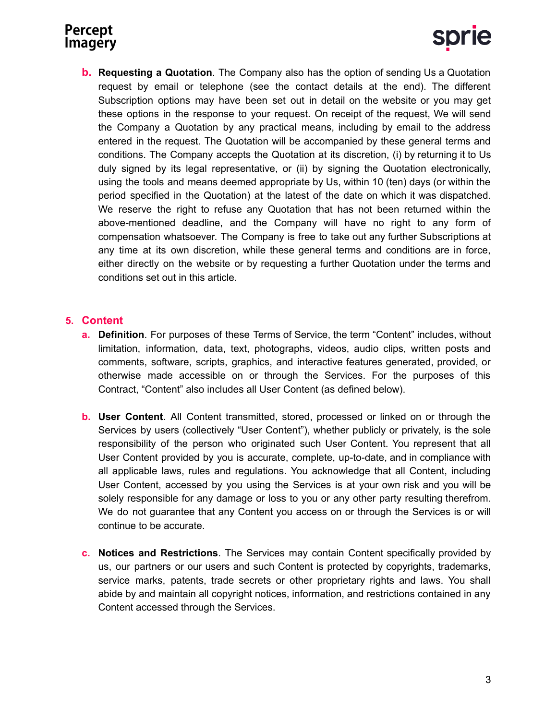

**b. Requesting a Quotation**. The Company also has the option of sending Us a Quotation request by email or telephone (see the contact details at the end). The different Subscription options may have been set out in detail on the website or you may get these options in the response to your request. On receipt of the request, We will send the Company a Quotation by any practical means, including by email to the address entered in the request. The Quotation will be accompanied by these general terms and conditions. The Company accepts the Quotation at its discretion, (i) by returning it to Us duly signed by its legal representative, or (ii) by signing the Quotation electronically, using the tools and means deemed appropriate by Us, within 10 (ten) days (or within the period specified in the Quotation) at the latest of the date on which it was dispatched. We reserve the right to refuse any Quotation that has not been returned within the above-mentioned deadline, and the Company will have no right to any form of compensation whatsoever. The Company is free to take out any further Subscriptions at any time at its own discretion, while these general terms and conditions are in force, either directly on the website or by requesting a further Quotation under the terms and conditions set out in this article.

#### **5. Content**

- **a. Definition**. For purposes of these Terms of Service, the term "Content" includes, without limitation, information, data, text, photographs, videos, audio clips, written posts and comments, software, scripts, graphics, and interactive features generated, provided, or otherwise made accessible on or through the Services. For the purposes of this Contract, "Content" also includes all User Content (as defined below).
- **b. User Content**. All Content transmitted, stored, processed or linked on or through the Services by users (collectively "User Content"), whether publicly or privately, is the sole responsibility of the person who originated such User Content. You represent that all User Content provided by you is accurate, complete, up-to-date, and in compliance with all applicable laws, rules and regulations. You acknowledge that all Content, including User Content, accessed by you using the Services is at your own risk and you will be solely responsible for any damage or loss to you or any other party resulting therefrom. We do not guarantee that any Content you access on or through the Services is or will continue to be accurate.
- **c. Notices and Restrictions**. The Services may contain Content specifically provided by us, our partners or our users and such Content is protected by copyrights, trademarks, service marks, patents, trade secrets or other proprietary rights and laws. You shall abide by and maintain all copyright notices, information, and restrictions contained in any Content accessed through the Services.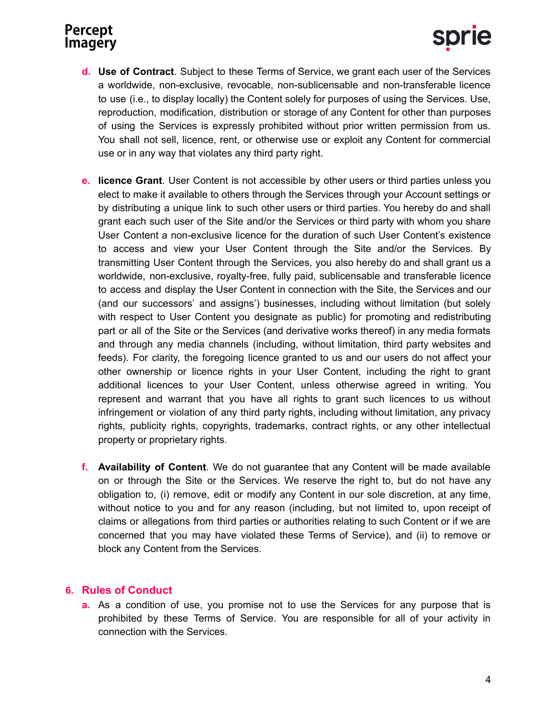- **d. Use of Contract**. Subject to these Terms of Service, we grant each user of the Services a worldwide, non-exclusive, revocable, non-sublicensable and non-transferable licence to use (i.e., to display locally) the Content solely for purposes of using the Services. Use, reproduction, modification, distribution or storage of any Content for other than purposes of using the Services is expressly prohibited without prior written permission from us. You shall not sell, licence, rent, or otherwise use or exploit any Content for commercial use or in any way that violates any third party right.
- **e. licence Grant**. User Content is not accessible by other users or third parties unless you elect to make it available to others through the Services through your Account settings or by distributing a unique link to such other users or third parties. You hereby do and shall grant each such user of the Site and/or the Services or third party with whom you share User Content a non-exclusive licence for the duration of such User Content's existence to access and view your User Content through the Site and/or the Services. By transmitting User Content through the Services, you also hereby do and shall grant us a worldwide, non-exclusive, royalty-free, fully paid, sublicensable and transferable licence to access and display the User Content in connection with the Site, the Services and our (and our successors' and assigns') businesses, including without limitation (but solely with respect to User Content you designate as public) for promoting and redistributing part or all of the Site or the Services (and derivative works thereof) in any media formats and through any media channels (including, without limitation, third party websites and feeds). For clarity, the foregoing licence granted to us and our users do not affect your other ownership or licence rights in your User Content, including the right to grant additional licences to your User Content, unless otherwise agreed in writing. You represent and warrant that you have all rights to grant such licences to us without infringement or violation of any third party rights, including without limitation, any privacy rights, publicity rights, copyrights, trademarks, contract rights, or any other intellectual property or proprietary rights.
- **f. Availability of Content**. We do not guarantee that any Content will be made available on or through the Site or the Services. We reserve the right to, but do not have any obligation to, (i) remove, edit or modify any Content in our sole discretion, at any time, without notice to you and for any reason (including, but not limited to, upon receipt of claims or allegations from third parties or authorities relating to such Content or if we are concerned that you may have violated these Terms of Service), and (ii) to remove or block any Content from the Services.

### **6. Rules of Conduct**

**a.** As a condition of use, you promise not to use the Services for any purpose that is prohibited by these Terms of Service. You are responsible for all of your activity in connection with the Services.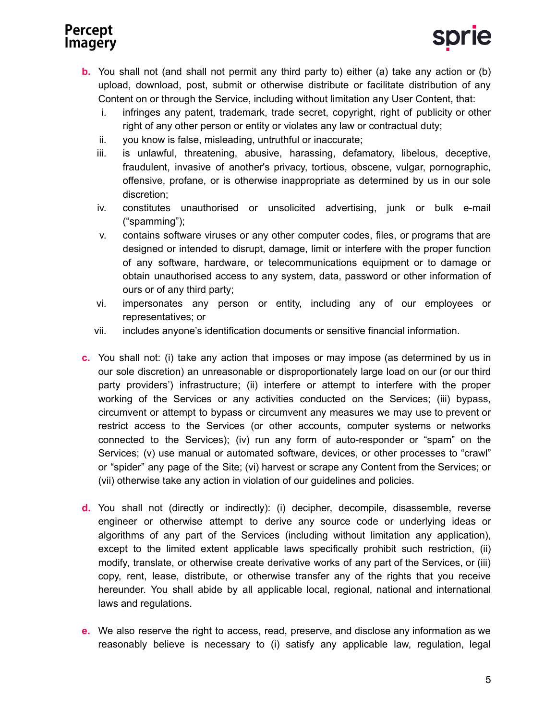- **b.** You shall not (and shall not permit any third party to) either (a) take any action or (b) upload, download, post, submit or otherwise distribute or facilitate distribution of any Content on or through the Service, including without limitation any User Content, that:
	- i. infringes any patent, trademark, trade secret, copyright, right of publicity or other right of any other person or entity or violates any law or contractual duty;
	- ii. you know is false, misleading, untruthful or inaccurate;
	- iii. is unlawful, threatening, abusive, harassing, defamatory, libelous, deceptive, fraudulent, invasive of another's privacy, tortious, obscene, vulgar, pornographic, offensive, profane, or is otherwise inappropriate as determined by us in our sole discretion;
	- iv. constitutes unauthorised or unsolicited advertising, junk or bulk e-mail ("spamming");
	- v. contains software viruses or any other computer codes, files, or programs that are designed or intended to disrupt, damage, limit or interfere with the proper function of any software, hardware, or telecommunications equipment or to damage or obtain unauthorised access to any system, data, password or other information of ours or of any third party;
	- vi. impersonates any person or entity, including any of our employees or representatives; or
	- vii. includes anyone's identification documents or sensitive financial information.
- **c.** You shall not: (i) take any action that imposes or may impose (as determined by us in our sole discretion) an unreasonable or disproportionately large load on our (or our third party providers') infrastructure; (ii) interfere or attempt to interfere with the proper working of the Services or any activities conducted on the Services; (iii) bypass, circumvent or attempt to bypass or circumvent any measures we may use to prevent or restrict access to the Services (or other accounts, computer systems or networks connected to the Services); (iv) run any form of auto-responder or "spam" on the Services; (v) use manual or automated software, devices, or other processes to "crawl" or "spider" any page of the Site; (vi) harvest or scrape any Content from the Services; or (vii) otherwise take any action in violation of our guidelines and policies.
- **d.** You shall not (directly or indirectly): (i) decipher, decompile, disassemble, reverse engineer or otherwise attempt to derive any source code or underlying ideas or algorithms of any part of the Services (including without limitation any application), except to the limited extent applicable laws specifically prohibit such restriction, (ii) modify, translate, or otherwise create derivative works of any part of the Services, or (iii) copy, rent, lease, distribute, or otherwise transfer any of the rights that you receive hereunder. You shall abide by all applicable local, regional, national and international laws and regulations.
- **e.** We also reserve the right to access, read, preserve, and disclose any information as we reasonably believe is necessary to (i) satisfy any applicable law, regulation, legal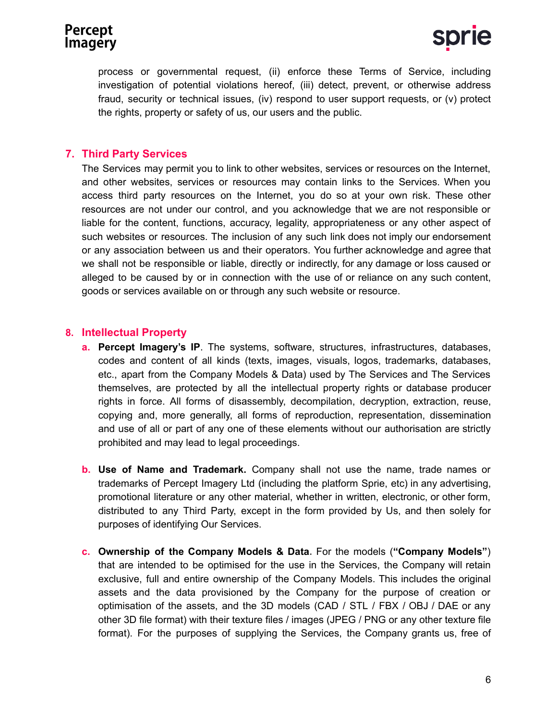process or governmental request, (ii) enforce these Terms of Service, including investigation of potential violations hereof, (iii) detect, prevent, or otherwise address fraud, security or technical issues, (iv) respond to user support requests, or (v) protect the rights, property or safety of us, our users and the public.

### **7. Third Party Services**

The Services may permit you to link to other websites, services or resources on the Internet, and other websites, services or resources may contain links to the Services. When you access third party resources on the Internet, you do so at your own risk. These other resources are not under our control, and you acknowledge that we are not responsible or liable for the content, functions, accuracy, legality, appropriateness or any other aspect of such websites or resources. The inclusion of any such link does not imply our endorsement or any association between us and their operators. You further acknowledge and agree that we shall not be responsible or liable, directly or indirectly, for any damage or loss caused or alleged to be caused by or in connection with the use of or reliance on any such content, goods or services available on or through any such website or resource.

### **8. Intellectual Property**

- **a. Percept Imagery's IP**. The systems, software, structures, infrastructures, databases, codes and content of all kinds (texts, images, visuals, logos, trademarks, databases, etc., apart from the Company Models & Data) used by The Services and The Services themselves, are protected by all the intellectual property rights or database producer rights in force. All forms of disassembly, decompilation, decryption, extraction, reuse, copying and, more generally, all forms of reproduction, representation, dissemination and use of all or part of any one of these elements without our authorisation are strictly prohibited and may lead to legal proceedings.
- **b. Use of Name and Trademark.** Company shall not use the name, trade names or trademarks of Percept Imagery Ltd (including the platform Sprie, etc) in any advertising, promotional literature or any other material, whether in written, electronic, or other form, distributed to any Third Party, except in the form provided by Us, and then solely for purposes of identifying Our Services.
- **c. Ownership of the Company Models & Data.** For the models (**"Company Models"**) that are intended to be optimised for the use in the Services, the Company will retain exclusive, full and entire ownership of the Company Models. This includes the original assets and the data provisioned by the Company for the purpose of creation or optimisation of the assets, and the 3D models (CAD / STL / FBX / OBJ / DAE or any other 3D file format) with their texture files / images (JPEG / PNG or any other texture file format). For the purposes of supplying the Services, the Company grants us, free of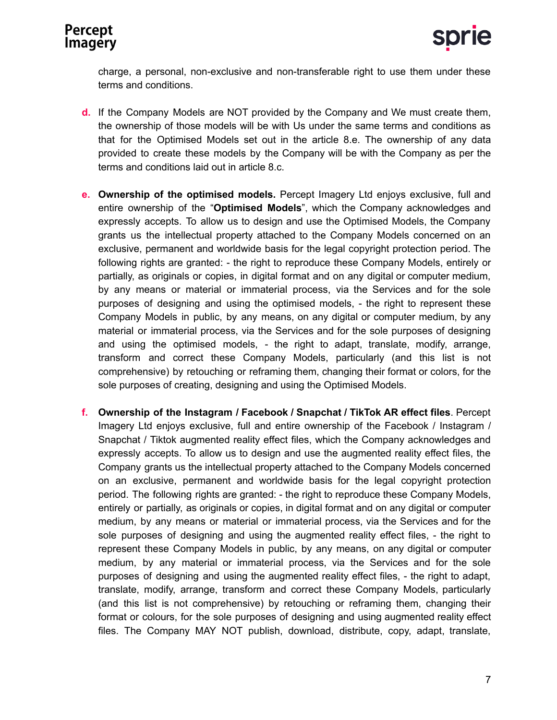charge, a personal, non-exclusive and non-transferable right to use them under these terms and conditions.

- **d.** If the Company Models are NOT provided by the Company and We must create them, the ownership of those models will be with Us under the same terms and conditions as that for the Optimised Models set out in the article 8.e. The ownership of any data provided to create these models by the Company will be with the Company as per the terms and conditions laid out in article 8.c.
- **e. Ownership of the optimised models.** Percept Imagery Ltd enjoys exclusive, full and entire ownership of the "**Optimised Models**", which the Company acknowledges and expressly accepts. To allow us to design and use the Optimised Models, the Company grants us the intellectual property attached to the Company Models concerned on an exclusive, permanent and worldwide basis for the legal copyright protection period. The following rights are granted: - the right to reproduce these Company Models, entirely or partially, as originals or copies, in digital format and on any digital or computer medium, by any means or material or immaterial process, via the Services and for the sole purposes of designing and using the optimised models, - the right to represent these Company Models in public, by any means, on any digital or computer medium, by any material or immaterial process, via the Services and for the sole purposes of designing and using the optimised models, - the right to adapt, translate, modify, arrange, transform and correct these Company Models, particularly (and this list is not comprehensive) by retouching or reframing them, changing their format or colors, for the sole purposes of creating, designing and using the Optimised Models.
- **f. Ownership of the Instagram / Facebook / Snapchat / TikTok AR effect files**. Percept Imagery Ltd enjoys exclusive, full and entire ownership of the Facebook / Instagram / Snapchat / Tiktok augmented reality effect files, which the Company acknowledges and expressly accepts. To allow us to design and use the augmented reality effect files, the Company grants us the intellectual property attached to the Company Models concerned on an exclusive, permanent and worldwide basis for the legal copyright protection period. The following rights are granted: - the right to reproduce these Company Models, entirely or partially, as originals or copies, in digital format and on any digital or computer medium, by any means or material or immaterial process, via the Services and for the sole purposes of designing and using the augmented reality effect files, - the right to represent these Company Models in public, by any means, on any digital or computer medium, by any material or immaterial process, via the Services and for the sole purposes of designing and using the augmented reality effect files, - the right to adapt, translate, modify, arrange, transform and correct these Company Models, particularly (and this list is not comprehensive) by retouching or reframing them, changing their format or colours, for the sole purposes of designing and using augmented reality effect files. The Company MAY NOT publish, download, distribute, copy, adapt, translate,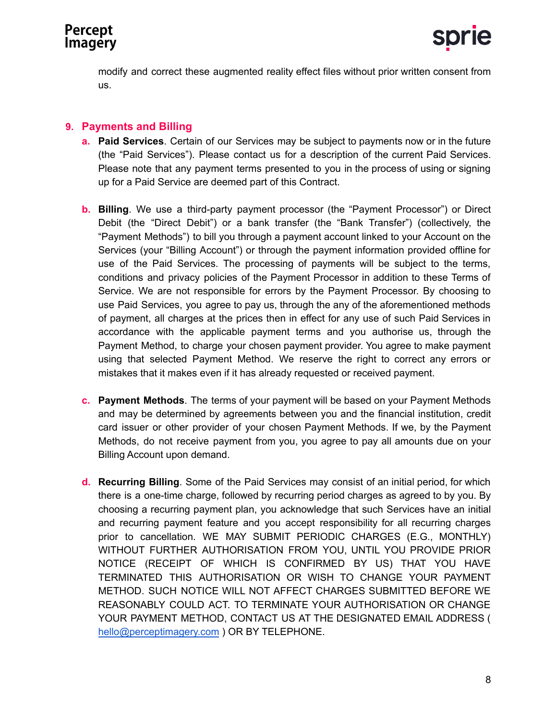modify and correct these augmented reality effect files without prior written consent from us.

### **9. Payments and Billing**

- **a. Paid Services**. Certain of our Services may be subject to payments now or in the future (the "Paid Services"). Please contact us for a description of the current Paid Services. Please note that any payment terms presented to you in the process of using or signing up for a Paid Service are deemed part of this Contract.
- **b. Billing**. We use a third-party payment processor (the "Payment Processor") or Direct Debit (the "Direct Debit") or a bank transfer (the "Bank Transfer") (collectively, the "Payment Methods") to bill you through a payment account linked to your Account on the Services (your "Billing Account") or through the payment information provided offline for use of the Paid Services. The processing of payments will be subject to the terms, conditions and privacy policies of the Payment Processor in addition to these Terms of Service. We are not responsible for errors by the Payment Processor. By choosing to use Paid Services, you agree to pay us, through the any of the aforementioned methods of payment, all charges at the prices then in effect for any use of such Paid Services in accordance with the applicable payment terms and you authorise us, through the Payment Method, to charge your chosen payment provider. You agree to make payment using that selected Payment Method. We reserve the right to correct any errors or mistakes that it makes even if it has already requested or received payment.
- **c. Payment Methods**. The terms of your payment will be based on your Payment Methods and may be determined by agreements between you and the financial institution, credit card issuer or other provider of your chosen Payment Methods. If we, by the Payment Methods, do not receive payment from you, you agree to pay all amounts due on your Billing Account upon demand.
- **d. Recurring Billing**. Some of the Paid Services may consist of an initial period, for which there is a one-time charge, followed by recurring period charges as agreed to by you. By choosing a recurring payment plan, you acknowledge that such Services have an initial and recurring payment feature and you accept responsibility for all recurring charges prior to cancellation. WE MAY SUBMIT PERIODIC CHARGES (E.G., MONTHLY) WITHOUT FURTHER AUTHORISATION FROM YOU, UNTIL YOU PROVIDE PRIOR NOTICE (RECEIPT OF WHICH IS CONFIRMED BY US) THAT YOU HAVE TERMINATED THIS AUTHORISATION OR WISH TO CHANGE YOUR PAYMENT METHOD. SUCH NOTICE WILL NOT AFFECT CHARGES SUBMITTED BEFORE WE REASONABLY COULD ACT. TO TERMINATE YOUR AUTHORISATION OR CHANGE YOUR PAYMENT METHOD, CONTACT US AT THE DESIGNATED EMAIL ADDRESS ( [hello@perceptimagery.com](mailto:hello@perceptimagery.com) ) OR BY TELEPHONE.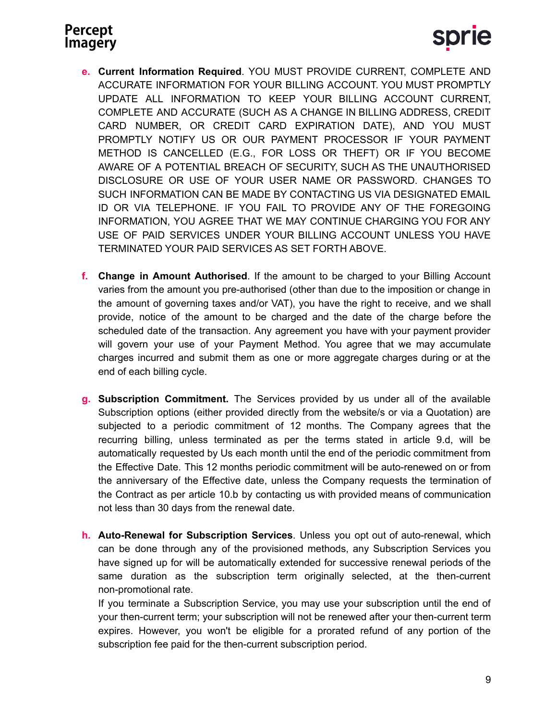- **e. Current Information Required**. YOU MUST PROVIDE CURRENT, COMPLETE AND ACCURATE INFORMATION FOR YOUR BILLING ACCOUNT. YOU MUST PROMPTLY UPDATE ALL INFORMATION TO KEEP YOUR BILLING ACCOUNT CURRENT, COMPLETE AND ACCURATE (SUCH AS A CHANGE IN BILLING ADDRESS, CREDIT CARD NUMBER, OR CREDIT CARD EXPIRATION DATE), AND YOU MUST PROMPTLY NOTIFY US OR OUR PAYMENT PROCESSOR IF YOUR PAYMENT METHOD IS CANCELLED (E.G., FOR LOSS OR THEFT) OR IF YOU BECOME AWARE OF A POTENTIAL BREACH OF SECURITY, SUCH AS THE UNAUTHORISED DISCLOSURE OR USE OF YOUR USER NAME OR PASSWORD. CHANGES TO SUCH INFORMATION CAN BE MADE BY CONTACTING US VIA DESIGNATED EMAIL ID OR VIA TELEPHONE. IF YOU FAIL TO PROVIDE ANY OF THE FOREGOING INFORMATION, YOU AGREE THAT WE MAY CONTINUE CHARGING YOU FOR ANY USE OF PAID SERVICES UNDER YOUR BILLING ACCOUNT UNLESS YOU HAVE TERMINATED YOUR PAID SERVICES AS SET FORTH ABOVE.
- **f. Change in Amount Authorised**. If the amount to be charged to your Billing Account varies from the amount you pre-authorised (other than due to the imposition or change in the amount of governing taxes and/or VAT), you have the right to receive, and we shall provide, notice of the amount to be charged and the date of the charge before the scheduled date of the transaction. Any agreement you have with your payment provider will govern your use of your Payment Method. You agree that we may accumulate charges incurred and submit them as one or more aggregate charges during or at the end of each billing cycle.
- **g. Subscription Commitment.** The Services provided by us under all of the available Subscription options (either provided directly from the website/s or via a Quotation) are subjected to a periodic commitment of 12 months. The Company agrees that the recurring billing, unless terminated as per the terms stated in article 9.d, will be automatically requested by Us each month until the end of the periodic commitment from the Effective Date. This 12 months periodic commitment will be auto-renewed on or from the anniversary of the Effective date, unless the Company requests the termination of the Contract as per article 10.b by contacting us with provided means of communication not less than 30 days from the renewal date.
- **h. Auto-Renewal for Subscription Services**. Unless you opt out of auto-renewal, which can be done through any of the provisioned methods, any Subscription Services you have signed up for will be automatically extended for successive renewal periods of the same duration as the subscription term originally selected, at the then-current non-promotional rate.

If you terminate a Subscription Service, you may use your subscription until the end of your then-current term; your subscription will not be renewed after your then-current term expires. However, you won't be eligible for a prorated refund of any portion of the subscription fee paid for the then-current subscription period.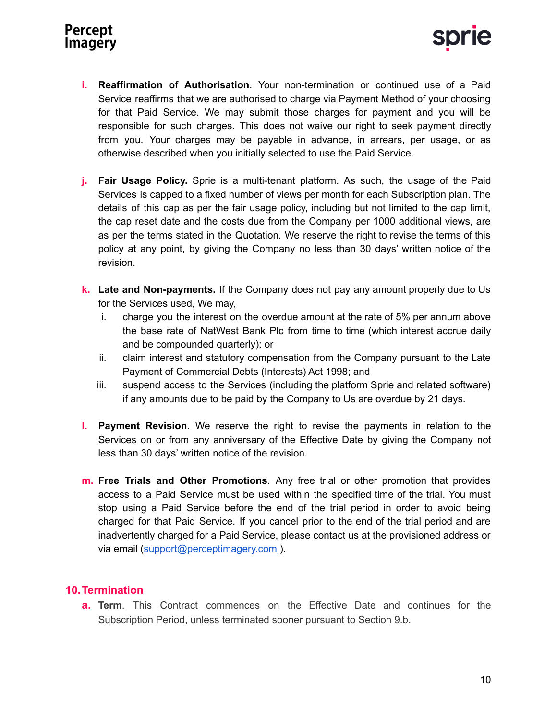



- **i. Reaffirmation of Authorisation**. Your non-termination or continued use of a Paid Service reaffirms that we are authorised to charge via Payment Method of your choosing for that Paid Service. We may submit those charges for payment and you will be responsible for such charges. This does not waive our right to seek payment directly from you. Your charges may be payable in advance, in arrears, per usage, or as otherwise described when you initially selected to use the Paid Service.
- **j. Fair Usage Policy.** Sprie is a multi-tenant platform. As such, the usage of the Paid Services is capped to a fixed number of views per month for each Subscription plan. The details of this cap as per the fair usage policy, including but not limited to the cap limit, the cap reset date and the costs due from the Company per 1000 additional views, are as per the terms stated in the Quotation. We reserve the right to revise the terms of this policy at any point, by giving the Company no less than 30 days' written notice of the revision.
- **k. Late and Non-payments.** If the Company does not pay any amount properly due to Us for the Services used, We may,
	- i. charge you the interest on the overdue amount at the rate of 5% per annum above the base rate of NatWest Bank Plc from time to time (which interest accrue daily and be compounded quarterly); or
	- ii. claim interest and statutory compensation from the Company pursuant to the Late Payment of Commercial Debts (Interests) Act 1998; and
	- iii. suspend access to the Services (including the platform Sprie and related software) if any amounts due to be paid by the Company to Us are overdue by 21 days.
- **l. Payment Revision.** We reserve the right to revise the payments in relation to the Services on or from any anniversary of the Effective Date by giving the Company not less than 30 days' written notice of the revision.
- **m. Free Trials and Other Promotions**. Any free trial or other promotion that provides access to a Paid Service must be used within the specified time of the trial. You must stop using a Paid Service before the end of the trial period in order to avoid being charged for that Paid Service. If you cancel prior to the end of the trial period and are inadvertently charged for a Paid Service, please contact us at the provisioned address or via email [\(support@perceptimagery.com](mailto:support@perceptimagery.com) ).

#### **10.Termination**

**a. Term**. This Contract commences on the Effective Date and continues for the Subscription Period, unless terminated sooner pursuant to Section 9.b.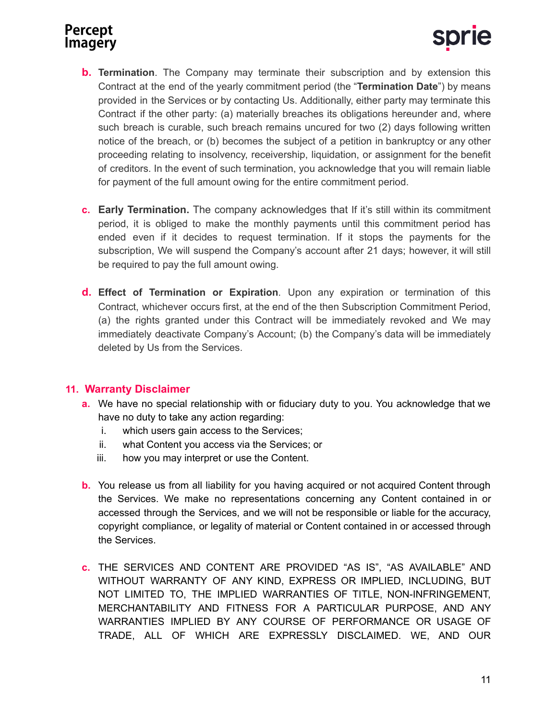

- **b. Termination**. The Company may terminate their subscription and by extension this Contract at the end of the yearly commitment period (the "**Termination Date**") by means provided in the Services or by contacting Us. Additionally, either party may terminate this Contract if the other party: (a) materially breaches its obligations hereunder and, where such breach is curable, such breach remains uncured for two (2) days following written notice of the breach, or (b) becomes the subject of a petition in bankruptcy or any other proceeding relating to insolvency, receivership, liquidation, or assignment for the benefit of creditors. In the event of such termination, you acknowledge that you will remain liable for payment of the full amount owing for the entire commitment period.
- **c. Early Termination.** The company acknowledges that If it's still within its commitment period, it is obliged to make the monthly payments until this commitment period has ended even if it decides to request termination. If it stops the payments for the subscription, We will suspend the Company's account after 21 days; however, it will still be required to pay the full amount owing.
- **d. Effect of Termination or Expiration**. Upon any expiration or termination of this Contract, whichever occurs first, at the end of the then Subscription Commitment Period, (a) the rights granted under this Contract will be immediately revoked and We may immediately deactivate Company's Account; (b) the Company's data will be immediately deleted by Us from the Services.

#### **11. Warranty Disclaimer**

- **a.** We have no special relationship with or fiduciary duty to you. You acknowledge that we have no duty to take any action regarding:
	- i. which users gain access to the Services;
	- ii. what Content you access via the Services; or
	- iii. how you may interpret or use the Content.
- **b.** You release us from all liability for you having acquired or not acquired Content through the Services. We make no representations concerning any Content contained in or accessed through the Services, and we will not be responsible or liable for the accuracy, copyright compliance, or legality of material or Content contained in or accessed through the Services.
- **c.** THE SERVICES AND CONTENT ARE PROVIDED "AS IS", "AS AVAILABLE" AND WITHOUT WARRANTY OF ANY KIND, EXPRESS OR IMPLIED, INCLUDING, BUT NOT LIMITED TO, THE IMPLIED WARRANTIES OF TITLE, NON-INFRINGEMENT, MERCHANTABILITY AND FITNESS FOR A PARTICULAR PURPOSE, AND ANY WARRANTIES IMPLIED BY ANY COURSE OF PERFORMANCE OR USAGE OF TRADE, ALL OF WHICH ARE EXPRESSLY DISCLAIMED. WE, AND OUR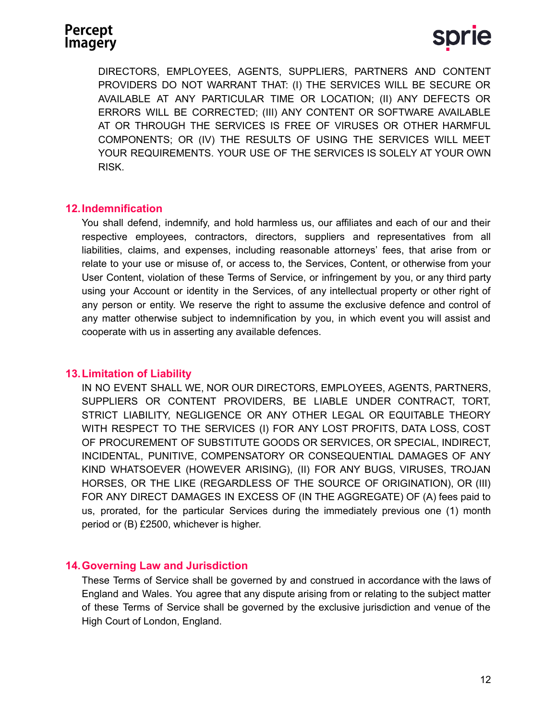DIRECTORS, EMPLOYEES, AGENTS, SUPPLIERS, PARTNERS AND CONTENT PROVIDERS DO NOT WARRANT THAT: (I) THE SERVICES WILL BE SECURE OR AVAILABLE AT ANY PARTICULAR TIME OR LOCATION; (II) ANY DEFECTS OR ERRORS WILL BE CORRECTED; (III) ANY CONTENT OR SOFTWARE AVAILABLE AT OR THROUGH THE SERVICES IS FREE OF VIRUSES OR OTHER HARMFUL COMPONENTS; OR (IV) THE RESULTS OF USING THE SERVICES WILL MEET YOUR REQUIREMENTS. YOUR USE OF THE SERVICES IS SOLELY AT YOUR OWN RISK.

#### **12.Indemnification**

You shall defend, indemnify, and hold harmless us, our affiliates and each of our and their respective employees, contractors, directors, suppliers and representatives from all liabilities, claims, and expenses, including reasonable attorneys' fees, that arise from or relate to your use or misuse of, or access to, the Services, Content, or otherwise from your User Content, violation of these Terms of Service, or infringement by you, or any third party using your Account or identity in the Services, of any intellectual property or other right of any person or entity. We reserve the right to assume the exclusive defence and control of any matter otherwise subject to indemnification by you, in which event you will assist and cooperate with us in asserting any available defences.

#### **13.Limitation of Liability**

IN NO EVENT SHALL WE, NOR OUR DIRECTORS, EMPLOYEES, AGENTS, PARTNERS, SUPPLIERS OR CONTENT PROVIDERS, BE LIABLE UNDER CONTRACT, TORT, STRICT LIABILITY, NEGLIGENCE OR ANY OTHER LEGAL OR EQUITABLE THEORY WITH RESPECT TO THE SERVICES (I) FOR ANY LOST PROFITS, DATA LOSS, COST OF PROCUREMENT OF SUBSTITUTE GOODS OR SERVICES, OR SPECIAL, INDIRECT, INCIDENTAL, PUNITIVE, COMPENSATORY OR CONSEQUENTIAL DAMAGES OF ANY KIND WHATSOEVER (HOWEVER ARISING), (II) FOR ANY BUGS, VIRUSES, TROJAN HORSES, OR THE LIKE (REGARDLESS OF THE SOURCE OF ORIGINATION), OR (III) FOR ANY DIRECT DAMAGES IN EXCESS OF (IN THE AGGREGATE) OF (A) fees paid to us, prorated, for the particular Services during the immediately previous one (1) month period or (B) £2500, whichever is higher.

### **14.Governing Law and Jurisdiction**

These Terms of Service shall be governed by and construed in accordance with the laws of England and Wales. You agree that any dispute arising from or relating to the subject matter of these Terms of Service shall be governed by the exclusive jurisdiction and venue of the High Court of London, England.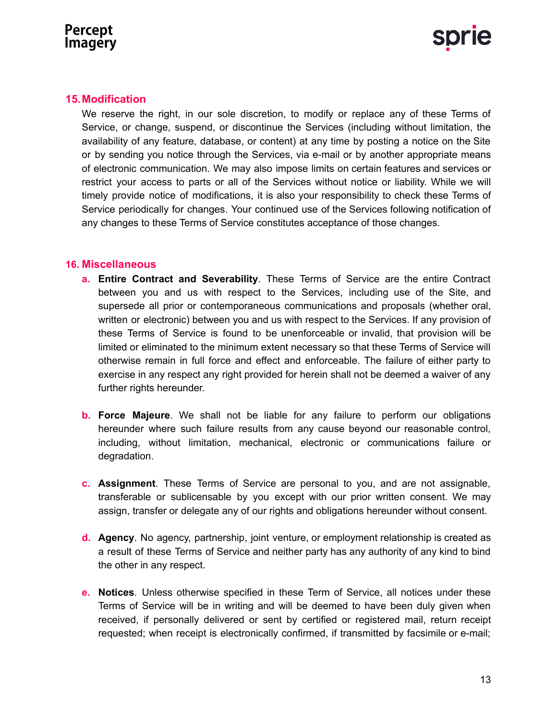



#### **15.Modification**

We reserve the right, in our sole discretion, to modify or replace any of these Terms of Service, or change, suspend, or discontinue the Services (including without limitation, the availability of any feature, database, or content) at any time by posting a notice on the Site or by sending you notice through the Services, via e-mail or by another appropriate means of electronic communication. We may also impose limits on certain features and services or restrict your access to parts or all of the Services without notice or liability. While we will timely provide notice of modifications, it is also your responsibility to check these Terms of Service periodically for changes. Your continued use of the Services following notification of any changes to these Terms of Service constitutes acceptance of those changes.

#### **16. Miscellaneous**

- **a. Entire Contract and Severability**. These Terms of Service are the entire Contract between you and us with respect to the Services, including use of the Site, and supersede all prior or contemporaneous communications and proposals (whether oral, written or electronic) between you and us with respect to the Services. If any provision of these Terms of Service is found to be unenforceable or invalid, that provision will be limited or eliminated to the minimum extent necessary so that these Terms of Service will otherwise remain in full force and effect and enforceable. The failure of either party to exercise in any respect any right provided for herein shall not be deemed a waiver of any further rights hereunder.
- **b. Force Majeure**. We shall not be liable for any failure to perform our obligations hereunder where such failure results from any cause beyond our reasonable control, including, without limitation, mechanical, electronic or communications failure or degradation.
- **c. Assignment**. These Terms of Service are personal to you, and are not assignable, transferable or sublicensable by you except with our prior written consent. We may assign, transfer or delegate any of our rights and obligations hereunder without consent.
- **d. Agency**. No agency, partnership, joint venture, or employment relationship is created as a result of these Terms of Service and neither party has any authority of any kind to bind the other in any respect.
- **e. Notices**. Unless otherwise specified in these Term of Service, all notices under these Terms of Service will be in writing and will be deemed to have been duly given when received, if personally delivered or sent by certified or registered mail, return receipt requested; when receipt is electronically confirmed, if transmitted by facsimile or e-mail;